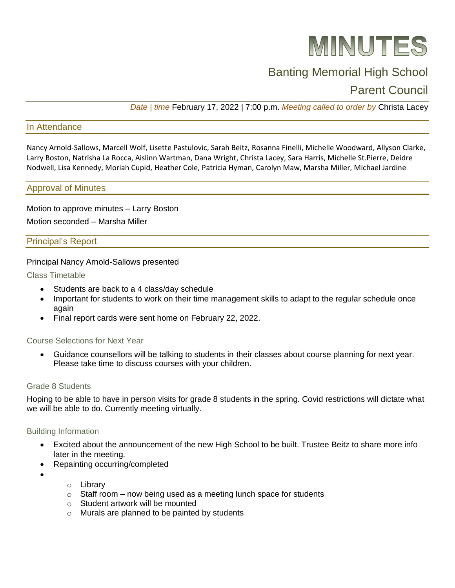

# Banting Memorial High School

# Parent Council

*Date | time* February 17, 2022 | 7:00 p.m. *Meeting called to order by* Christa Lacey

# In Attendance

Nancy Arnold-Sallows, Marcell Wolf, Lisette Pastulovic, Sarah Beitz, Rosanna Finelli, Michelle Woodward, Allyson Clarke, Larry Boston, Natrisha La Rocca, Aislinn Wartman, Dana Wright, Christa Lacey, Sara Harris, Michelle St.Pierre, Deidre Nodwell, Lisa Kennedy, Moriah Cupid, Heather Cole, Patricia Hyman, Carolyn Maw, Marsha Miller, Michael Jardine

#### Approval of Minutes

Motion to approve minutes – Larry Boston Motion seconded – Marsha Miller

# Principal's Report

#### Principal Nancy Arnold-Sallows presented

Class Timetable

- Students are back to a 4 class/day schedule
- Important for students to work on their time management skills to adapt to the regular schedule once again
- Final report cards were sent home on February 22, 2022.

#### Course Selections for Next Year

• Guidance counsellors will be talking to students in their classes about course planning for next year. Please take time to discuss courses with your children.

#### Grade 8 Students

Hoping to be able to have in person visits for grade 8 students in the spring. Covid restrictions will dictate what we will be able to do. Currently meeting virtually.

#### Building Information

- Excited about the announcement of the new High School to be built. Trustee Beitz to share more info later in the meeting.
- Repainting occurring/completed
- •
- o Library
- $\circ$  Staff room now being used as a meeting lunch space for students
- o Student artwork will be mounted
- o Murals are planned to be painted by students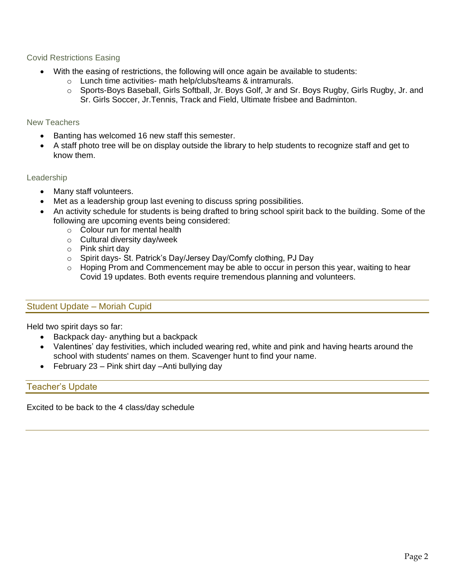# Covid Restrictions Easing

- With the easing of restrictions, the following will once again be available to students:
	- o Lunch time activities- math help/clubs/teams & intramurals.
		- o Sports-Boys Baseball, Girls Softball, Jr. Boys Golf, Jr and Sr. Boys Rugby, Girls Rugby, Jr. and Sr. Girls Soccer, Jr.Tennis, Track and Field, Ultimate frisbee and Badminton.

# New Teachers

- Banting has welcomed 16 new staff this semester.
- A staff photo tree will be on display outside the library to help students to recognize staff and get to know them.

# Leadership

- Many staff volunteers.
- Met as a leadership group last evening to discuss spring possibilities.
- An activity schedule for students is being drafted to bring school spirit back to the building. Some of the following are upcoming events being considered:
	- o Colour run for mental health
	- o Cultural diversity day/week
	- o Pink shirt day
	- o Spirit days- St. Patrick's Day/Jersey Day/Comfy clothing, PJ Day
	- $\circ$  Hoping Prom and Commencement may be able to occur in person this year, waiting to hear Covid 19 updates. Both events require tremendous planning and volunteers.

# Student Update – Moriah Cupid

Held two spirit days so far:

- Backpack day- anything but a backpack
- Valentines' day festivities, which included wearing red, white and pink and having hearts around the school with students' names on them. Scavenger hunt to find your name.
- February 23 Pink shirt day Anti bullying day

# Teacher's Update

Excited to be back to the 4 class/day schedule